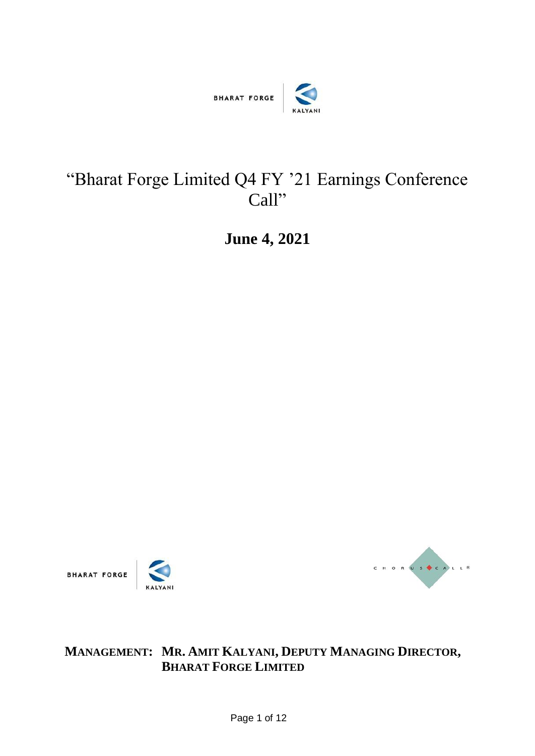

## "Bharat Forge Limited Q4 FY '21 Earnings Conference Call"

**June 4, 2021**







## **MANAGEMENT: MR. AMIT KALYANI, DEPUTY MANAGING DIRECTOR, BHARAT FORGE LIMITED**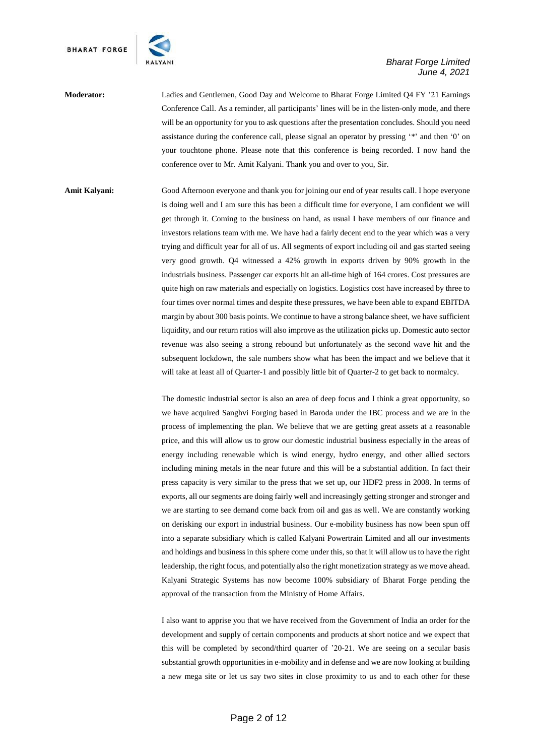

**Moderator:** Ladies and Gentlemen, Good Day and Welcome to Bharat Forge Limited Q4 FY '21 Earnings Conference Call. As a reminder, all participants' lines will be in the listen-only mode, and there will be an opportunity for you to ask questions after the presentation concludes. Should you need assistance during the conference call, please signal an operator by pressing '\*' and then '0' on your touchtone phone. Please note that this conference is being recorded. I now hand the conference over to Mr. Amit Kalyani. Thank you and over to you, Sir.

Amit Kalyani: Good Afternoon everyone and thank you for joining our end of year results call. I hope everyone is doing well and I am sure this has been a difficult time for everyone, I am confident we will get through it. Coming to the business on hand, as usual I have members of our finance and investors relations team with me. We have had a fairly decent end to the year which was a very trying and difficult year for all of us. All segments of export including oil and gas started seeing very good growth. Q4 witnessed a 42% growth in exports driven by 90% growth in the industrials business. Passenger car exports hit an all-time high of 164 crores. Cost pressures are quite high on raw materials and especially on logistics. Logistics cost have increased by three to four times over normal times and despite these pressures, we have been able to expand EBITDA margin by about 300 basis points. We continue to have a strong balance sheet, we have sufficient liquidity, and our return ratios will also improve as the utilization picks up. Domestic auto sector revenue was also seeing a strong rebound but unfortunately as the second wave hit and the subsequent lockdown, the sale numbers show what has been the impact and we believe that it will take at least all of Quarter-1 and possibly little bit of Quarter-2 to get back to normalcy.

> The domestic industrial sector is also an area of deep focus and I think a great opportunity, so we have acquired Sanghvi Forging based in Baroda under the IBC process and we are in the process of implementing the plan. We believe that we are getting great assets at a reasonable price, and this will allow us to grow our domestic industrial business especially in the areas of energy including renewable which is wind energy, hydro energy, and other allied sectors including mining metals in the near future and this will be a substantial addition. In fact their press capacity is very similar to the press that we set up, our HDF2 press in 2008. In terms of exports, all our segments are doing fairly well and increasingly getting stronger and stronger and we are starting to see demand come back from oil and gas as well. We are constantly working on derisking our export in industrial business. Our e-mobility business has now been spun off into a separate subsidiary which is called Kalyani Powertrain Limited and all our investments and holdings and business in this sphere come under this, so that it will allow us to have the right leadership, the right focus, and potentially also the right monetization strategy as we move ahead. Kalyani Strategic Systems has now become 100% subsidiary of Bharat Forge pending the approval of the transaction from the Ministry of Home Affairs.

> I also want to apprise you that we have received from the Government of India an order for the development and supply of certain components and products at short notice and we expect that this will be completed by second/third quarter of '20-21. We are seeing on a secular basis substantial growth opportunities in e-mobility and in defense and we are now looking at building a new mega site or let us say two sites in close proximity to us and to each other for these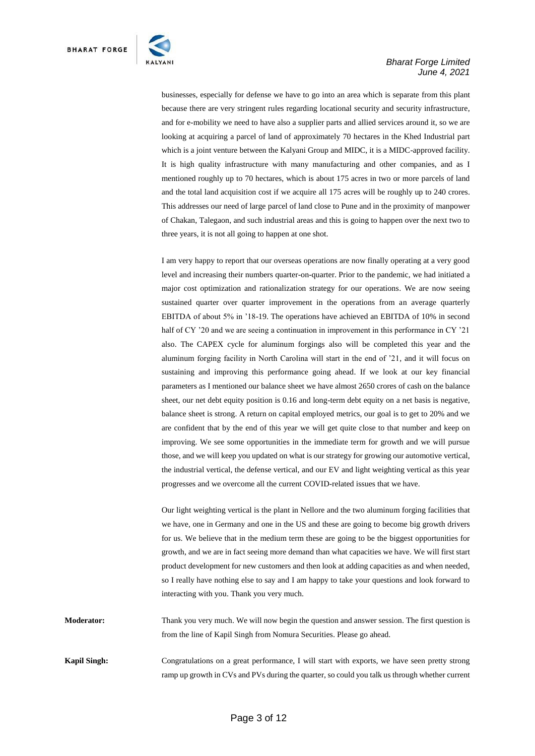

businesses, especially for defense we have to go into an area which is separate from this plant because there are very stringent rules regarding locational security and security infrastructure, and for e-mobility we need to have also a supplier parts and allied services around it, so we are looking at acquiring a parcel of land of approximately 70 hectares in the Khed Industrial part which is a joint venture between the Kalyani Group and MIDC, it is a MIDC-approved facility. It is high quality infrastructure with many manufacturing and other companies, and as I mentioned roughly up to 70 hectares, which is about 175 acres in two or more parcels of land and the total land acquisition cost if we acquire all 175 acres will be roughly up to 240 crores. This addresses our need of large parcel of land close to Pune and in the proximity of manpower of Chakan, Talegaon, and such industrial areas and this is going to happen over the next two to three years, it is not all going to happen at one shot.

I am very happy to report that our overseas operations are now finally operating at a very good level and increasing their numbers quarter-on-quarter. Prior to the pandemic, we had initiated a major cost optimization and rationalization strategy for our operations. We are now seeing sustained quarter over quarter improvement in the operations from an average quarterly EBITDA of about 5% in '18-19. The operations have achieved an EBITDA of 10% in second half of CY '20 and we are seeing a continuation in improvement in this performance in CY '21 also. The CAPEX cycle for aluminum forgings also will be completed this year and the aluminum forging facility in North Carolina will start in the end of '21, and it will focus on sustaining and improving this performance going ahead. If we look at our key financial parameters as I mentioned our balance sheet we have almost 2650 crores of cash on the balance sheet, our net debt equity position is 0.16 and long-term debt equity on a net basis is negative, balance sheet is strong. A return on capital employed metrics, our goal is to get to 20% and we are confident that by the end of this year we will get quite close to that number and keep on improving. We see some opportunities in the immediate term for growth and we will pursue those, and we will keep you updated on what is our strategy for growing our automotive vertical, the industrial vertical, the defense vertical, and our EV and light weighting vertical as this year progresses and we overcome all the current COVID-related issues that we have.

Our light weighting vertical is the plant in Nellore and the two aluminum forging facilities that we have, one in Germany and one in the US and these are going to become big growth drivers for us. We believe that in the medium term these are going to be the biggest opportunities for growth, and we are in fact seeing more demand than what capacities we have. We will first start product development for new customers and then look at adding capacities as and when needed, so I really have nothing else to say and I am happy to take your questions and look forward to interacting with you. Thank you very much.

**Moderator:** Thank you very much. We will now begin the question and answer session. The first question is from the line of Kapil Singh from Nomura Securities. Please go ahead.

**Kapil Singh:** Congratulations on a great performance, I will start with exports, we have seen pretty strong ramp up growth in CVs and PVs during the quarter, so could you talk us through whether current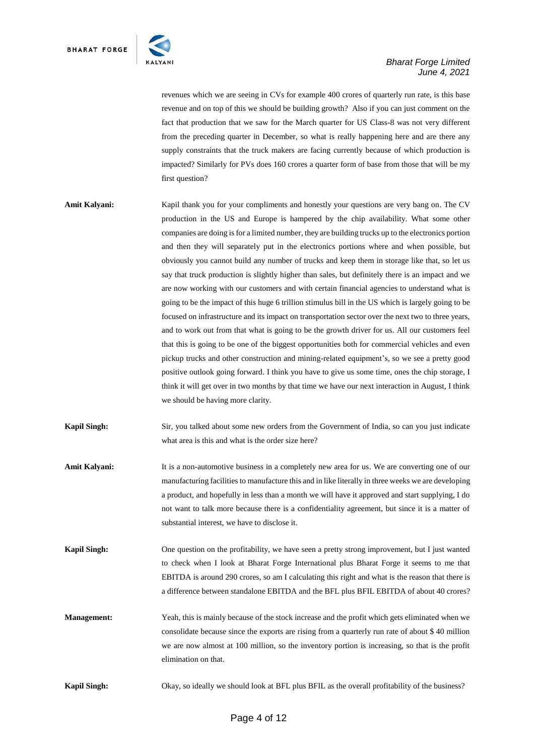

revenues which we are seeing in CVs for example 400 crores of quarterly run rate, is this base revenue and on top of this we should be building growth? Also if you can just comment on the fact that production that we saw for the March quarter for US Class-8 was not very different from the preceding quarter in December, so what is really happening here and are there any supply constraints that the truck makers are facing currently because of which production is impacted? Similarly for PVs does 160 crores a quarter form of base from those that will be my first question?

- Amit Kalyani: Kapil thank you for your compliments and honestly your questions are very bang on. The CV production in the US and Europe is hampered by the chip availability. What some other companies are doing is for a limited number, they are building trucks up to the electronics portion and then they will separately put in the electronics portions where and when possible, but obviously you cannot build any number of trucks and keep them in storage like that, so let us say that truck production is slightly higher than sales, but definitely there is an impact and we are now working with our customers and with certain financial agencies to understand what is going to be the impact of this huge 6 trillion stimulus bill in the US which is largely going to be focused on infrastructure and its impact on transportation sector over the next two to three years, and to work out from that what is going to be the growth driver for us. All our customers feel that this is going to be one of the biggest opportunities both for commercial vehicles and even pickup trucks and other construction and mining-related equipment's, so we see a pretty good positive outlook going forward. I think you have to give us some time, ones the chip storage, I think it will get over in two months by that time we have our next interaction in August, I think we should be having more clarity.
- **Kapil Singh:** Sir, you talked about some new orders from the Government of India, so can you just indicate what area is this and what is the order size here?
- Amit Kalyani: It is a non-automotive business in a completely new area for us. We are converting one of our manufacturing facilities to manufacture this and in like literally in three weeks we are developing a product, and hopefully in less than a month we will have it approved and start supplying, I do not want to talk more because there is a confidentiality agreement, but since it is a matter of substantial interest, we have to disclose it.
- **Kapil Singh:** One question on the profitability, we have seen a pretty strong improvement, but I just wanted to check when I look at Bharat Forge International plus Bharat Forge it seems to me that EBITDA is around 290 crores, so am I calculating this right and what is the reason that there is a difference between standalone EBITDA and the BFL plus BFIL EBITDA of about 40 crores?
- **Management:** Yeah, this is mainly because of the stock increase and the profit which gets eliminated when we consolidate because since the exports are rising from a quarterly run rate of about \$ 40 million we are now almost at 100 million, so the inventory portion is increasing, so that is the profit elimination on that.

**Kapil Singh:** Okay, so ideally we should look at BFL plus BFIL as the overall profitability of the business?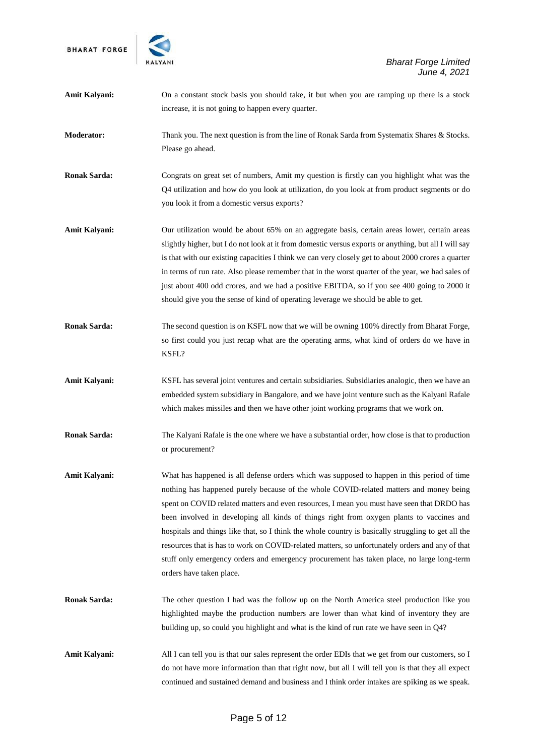

| Amit Kalyani:        | On a constant stock basis you should take, it but when you are ramping up there is a stock<br>increase, it is not going to happen every quarter.                                                                                                                                                                                                                                                                                                                                                                                                                                                                                                                                                                   |
|----------------------|--------------------------------------------------------------------------------------------------------------------------------------------------------------------------------------------------------------------------------------------------------------------------------------------------------------------------------------------------------------------------------------------------------------------------------------------------------------------------------------------------------------------------------------------------------------------------------------------------------------------------------------------------------------------------------------------------------------------|
| <b>Moderator:</b>    | Thank you. The next question is from the line of Ronak Sarda from Systematix Shares & Stocks.<br>Please go ahead.                                                                                                                                                                                                                                                                                                                                                                                                                                                                                                                                                                                                  |
| <b>Ronak Sarda:</b>  | Congrats on great set of numbers, Amit my question is firstly can you highlight what was the<br>Q4 utilization and how do you look at utilization, do you look at from product segments or do<br>you look it from a domestic versus exports?                                                                                                                                                                                                                                                                                                                                                                                                                                                                       |
| Amit Kalyani:        | Our utilization would be about 65% on an aggregate basis, certain areas lower, certain areas<br>slightly higher, but I do not look at it from domestic versus exports or anything, but all I will say<br>is that with our existing capacities I think we can very closely get to about 2000 crores a quarter<br>in terms of run rate. Also please remember that in the worst quarter of the year, we had sales of<br>just about 400 odd crores, and we had a positive EBITDA, so if you see 400 going to 2000 it<br>should give you the sense of kind of operating leverage we should be able to get.                                                                                                              |
| <b>Ronak Sarda:</b>  | The second question is on KSFL now that we will be owning 100% directly from Bharat Forge,<br>so first could you just recap what are the operating arms, what kind of orders do we have in<br>KSFL?                                                                                                                                                                                                                                                                                                                                                                                                                                                                                                                |
| Amit Kalyani:        | KSFL has several joint ventures and certain subsidiaries. Subsidiaries analogic, then we have an<br>embedded system subsidiary in Bangalore, and we have joint venture such as the Kalyani Rafale<br>which makes missiles and then we have other joint working programs that we work on.                                                                                                                                                                                                                                                                                                                                                                                                                           |
| <b>Ronak Sarda:</b>  | The Kalyani Rafale is the one where we have a substantial order, how close is that to production<br>or procurement?                                                                                                                                                                                                                                                                                                                                                                                                                                                                                                                                                                                                |
| <b>Amit Kalyani:</b> | What has happened is all defense orders which was supposed to happen in this period of time<br>nothing has happened purely because of the whole COVID-related matters and money being<br>spent on COVID related matters and even resources, I mean you must have seen that DRDO has<br>been involved in developing all kinds of things right from oxygen plants to vaccines and<br>hospitals and things like that, so I think the whole country is basically struggling to get all the<br>resources that is has to work on COVID-related matters, so unfortunately orders and any of that<br>stuff only emergency orders and emergency procurement has taken place, no large long-term<br>orders have taken place. |
| <b>Ronak Sarda:</b>  | The other question I had was the follow up on the North America steel production like you<br>highlighted maybe the production numbers are lower than what kind of inventory they are<br>building up, so could you highlight and what is the kind of run rate we have seen in Q4?                                                                                                                                                                                                                                                                                                                                                                                                                                   |
| <b>Amit Kalyani:</b> | All I can tell you is that our sales represent the order EDIs that we get from our customers, so I<br>do not have more information than that right now, but all I will tell you is that they all expect<br>continued and sustained demand and business and I think order intakes are spiking as we speak.                                                                                                                                                                                                                                                                                                                                                                                                          |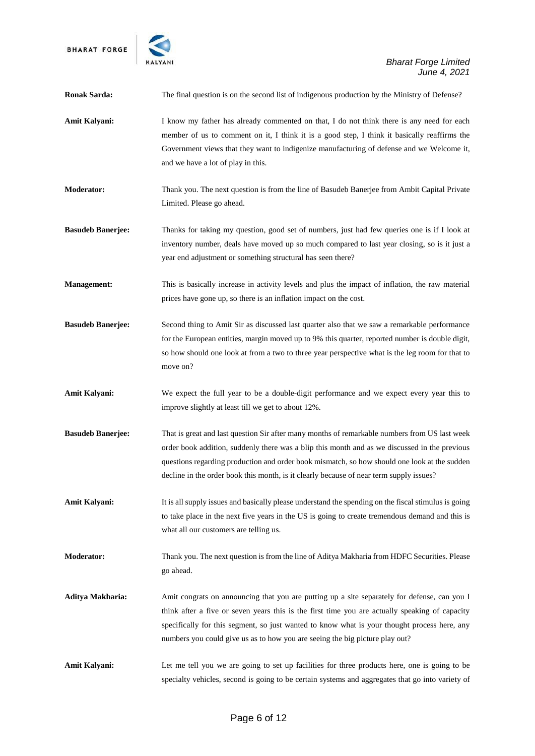

*Bharat Forge Limited June 4, 2021*

| <b>Ronak Sarda:</b>      | The final question is on the second list of indigenous production by the Ministry of Defense?                                                                                                                                                                                                                                                                                             |
|--------------------------|-------------------------------------------------------------------------------------------------------------------------------------------------------------------------------------------------------------------------------------------------------------------------------------------------------------------------------------------------------------------------------------------|
| <b>Amit Kalyani:</b>     | I know my father has already commented on that, I do not think there is any need for each<br>member of us to comment on it, I think it is a good step, I think it basically reaffirms the<br>Government views that they want to indigenize manufacturing of defense and we Welcome it,<br>and we have a lot of play in this.                                                              |
| <b>Moderator:</b>        | Thank you. The next question is from the line of Basudeb Banerjee from Ambit Capital Private<br>Limited. Please go ahead.                                                                                                                                                                                                                                                                 |
| <b>Basudeb Banerjee:</b> | Thanks for taking my question, good set of numbers, just had few queries one is if I look at<br>inventory number, deals have moved up so much compared to last year closing, so is it just a<br>year end adjustment or something structural has seen there?                                                                                                                               |
| <b>Management:</b>       | This is basically increase in activity levels and plus the impact of inflation, the raw material<br>prices have gone up, so there is an inflation impact on the cost.                                                                                                                                                                                                                     |
| <b>Basudeb Banerjee:</b> | Second thing to Amit Sir as discussed last quarter also that we saw a remarkable performance<br>for the European entities, margin moved up to 9% this quarter, reported number is double digit,<br>so how should one look at from a two to three year perspective what is the leg room for that to<br>move on?                                                                            |
| <b>Amit Kalyani:</b>     | We expect the full year to be a double-digit performance and we expect every year this to<br>improve slightly at least till we get to about 12%.                                                                                                                                                                                                                                          |
| <b>Basudeb Banerjee:</b> | That is great and last question Sir after many months of remarkable numbers from US last week<br>order book addition, suddenly there was a blip this month and as we discussed in the previous<br>questions regarding production and order book mismatch, so how should one look at the sudden<br>decline in the order book this month, is it clearly because of near term supply issues? |
| <b>Amit Kalyani:</b>     | It is all supply issues and basically please understand the spending on the fiscal stimulus is going<br>to take place in the next five years in the US is going to create tremendous demand and this is<br>what all our customers are telling us.                                                                                                                                         |
| <b>Moderator:</b>        | Thank you. The next question is from the line of Aditya Makharia from HDFC Securities. Please<br>go ahead.                                                                                                                                                                                                                                                                                |
| Aditya Makharia:         | Amit congrats on announcing that you are putting up a site separately for defense, can you I<br>think after a five or seven years this is the first time you are actually speaking of capacity<br>specifically for this segment, so just wanted to know what is your thought process here, any<br>numbers you could give us as to how you are seeing the big picture play out?            |
| Amit Kalyani:            | Let me tell you we are going to set up facilities for three products here, one is going to be<br>specialty vehicles, second is going to be certain systems and aggregates that go into variety of                                                                                                                                                                                         |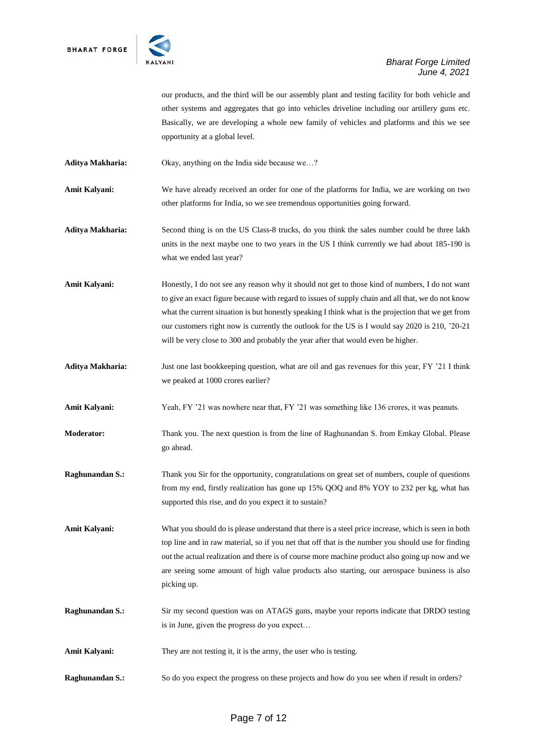

our products, and the third will be our assembly plant and testing facility for both vehicle and other systems and aggregates that go into vehicles driveline including our artillery guns etc. Basically, we are developing a whole new family of vehicles and platforms and this we see opportunity at a global level.

**Aditya Makharia:** Okay, anything on the India side because we…?

Amit Kalyani: We have already received an order for one of the platforms for India, we are working on two other platforms for India, so we see tremendous opportunities going forward.

**Aditya Makharia:** Second thing is on the US Class-8 trucks, do you think the sales number could be three lakh units in the next maybe one to two years in the US I think currently we had about 185-190 is what we ended last year?

Amit Kalyani: Honestly, I do not see any reason why it should not get to those kind of numbers, I do not want to give an exact figure because with regard to issues of supply chain and all that, we do not know what the current situation is but honestly speaking I think what is the projection that we get from our customers right now is currently the outlook for the US is I would say 2020 is 210, '20-21 will be very close to 300 and probably the year after that would even be higher.

**Aditya Makharia:** Just one last bookkeeping question, what are oil and gas revenues for this year, FY '21 I think we peaked at 1000 crores earlier?

**Amit Kalyani:** Yeah, FY '21 was nowhere near that, FY '21 was something like 136 crores, it was peanuts.

**Moderator:** Thank you. The next question is from the line of Raghunandan S. from Emkay Global. Please go ahead.

**Raghunandan S.:** Thank you Sir for the opportunity, congratulations on great set of numbers, couple of questions from my end, firstly realization has gone up 15% QOQ and 8% YOY to 232 per kg, what has supported this rise, and do you expect it to sustain?

**Amit Kalyani:** What you should do is please understand that there is a steel price increase, which is seen in both top line and in raw material, so if you net that off that is the number you should use for finding out the actual realization and there is of course more machine product also going up now and we are seeing some amount of high value products also starting, our aerospace business is also picking up.

**Raghunandan S.:** Sir my second question was on ATAGS guns, maybe your reports indicate that DRDO testing is in June, given the progress do you expect…

**Amit Kalyani:** They are not testing it, it is the army, the user who is testing.

**Raghunandan S.:** So do you expect the progress on these projects and how do you see when if result in orders?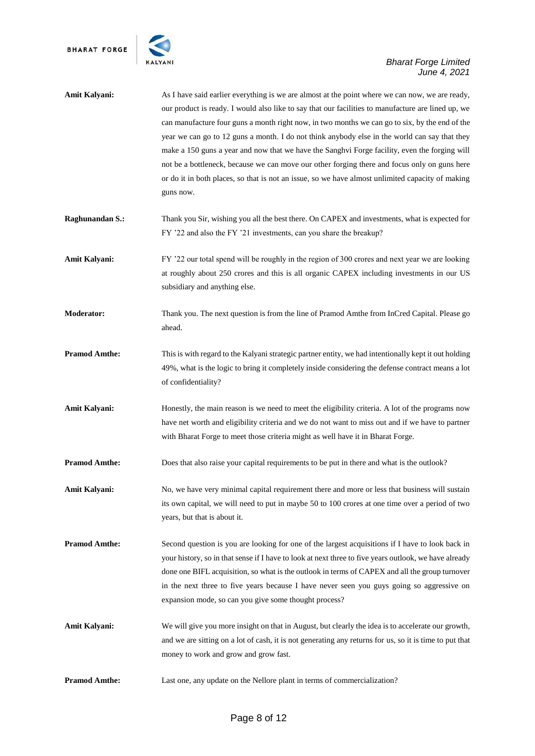

| Amit Kalyani:          | As I have said earlier everything is we are almost at the point where we can now, we are ready,<br>our product is ready. I would also like to say that our facilities to manufacture are lined up, we<br>can manufacture four guns a month right now, in two months we can go to six, by the end of the<br>year we can go to 12 guns a month. I do not think anybody else in the world can say that they<br>make a 150 guns a year and now that we have the Sanghvi Forge facility, even the forging will<br>not be a bottleneck, because we can move our other forging there and focus only on guns here<br>or do it in both places, so that is not an issue, so we have almost unlimited capacity of making<br>guns now. |
|------------------------|----------------------------------------------------------------------------------------------------------------------------------------------------------------------------------------------------------------------------------------------------------------------------------------------------------------------------------------------------------------------------------------------------------------------------------------------------------------------------------------------------------------------------------------------------------------------------------------------------------------------------------------------------------------------------------------------------------------------------|
| <b>Raghunandan S.:</b> | Thank you Sir, wishing you all the best there. On CAPEX and investments, what is expected for<br>FY '22 and also the FY '21 investments, can you share the breakup?                                                                                                                                                                                                                                                                                                                                                                                                                                                                                                                                                        |
| Amit Kalyani:          | FY '22 our total spend will be roughly in the region of 300 crores and next year we are looking<br>at roughly about 250 crores and this is all organic CAPEX including investments in our US<br>subsidiary and anything else.                                                                                                                                                                                                                                                                                                                                                                                                                                                                                              |
| <b>Moderator:</b>      | Thank you. The next question is from the line of Pramod Amthe from InCred Capital. Please go<br>ahead.                                                                                                                                                                                                                                                                                                                                                                                                                                                                                                                                                                                                                     |
| <b>Pramod Amthe:</b>   | This is with regard to the Kalyani strategic partner entity, we had intentionally kept it out holding<br>49%, what is the logic to bring it completely inside considering the defense contract means a lot<br>of confidentiality?                                                                                                                                                                                                                                                                                                                                                                                                                                                                                          |
| Amit Kalyani:          | Honestly, the main reason is we need to meet the eligibility criteria. A lot of the programs now<br>have net worth and eligibility criteria and we do not want to miss out and if we have to partner<br>with Bharat Forge to meet those criteria might as well have it in Bharat Forge.                                                                                                                                                                                                                                                                                                                                                                                                                                    |
| <b>Pramod Amthe:</b>   | Does that also raise your capital requirements to be put in there and what is the outlook?                                                                                                                                                                                                                                                                                                                                                                                                                                                                                                                                                                                                                                 |
| <b>Amit Kalyani:</b>   | No, we have very minimal capital requirement there and more or less that business will sustain<br>its own capital, we will need to put in maybe 50 to 100 crores at one time over a period of two<br>years, but that is about it.                                                                                                                                                                                                                                                                                                                                                                                                                                                                                          |
| <b>Pramod Amthe:</b>   | Second question is you are looking for one of the largest acquisitions if I have to look back in<br>your history, so in that sense if I have to look at next three to five years outlook, we have already<br>done one BIFL acquisition, so what is the outlook in terms of CAPEX and all the group turnover<br>in the next three to five years because I have never seen you guys going so aggressive on<br>expansion mode, so can you give some thought process?                                                                                                                                                                                                                                                          |
| Amit Kalyani:          | We will give you more insight on that in August, but clearly the idea is to accelerate our growth,<br>and we are sitting on a lot of cash, it is not generating any returns for us, so it is time to put that<br>money to work and grow and grow fast.                                                                                                                                                                                                                                                                                                                                                                                                                                                                     |
| <b>Pramod Amthe:</b>   | Last one, any update on the Nellore plant in terms of commercialization?                                                                                                                                                                                                                                                                                                                                                                                                                                                                                                                                                                                                                                                   |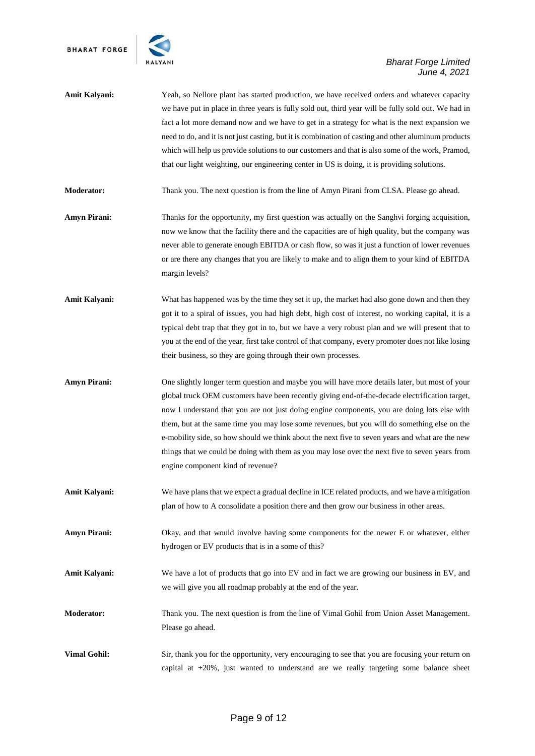

- **Amit Kalyani:** Yeah, so Nellore plant has started production, we have received orders and whatever capacity we have put in place in three years is fully sold out, third year will be fully sold out. We had in fact a lot more demand now and we have to get in a strategy for what is the next expansion we need to do, and it is not just casting, but it is combination of casting and other aluminum products which will help us provide solutions to our customers and that is also some of the work, Pramod, that our light weighting, our engineering center in US is doing, it is providing solutions.
- **Moderator:** Thank you. The next question is from the line of Amyn Pirani from CLSA. Please go ahead.
- **Amyn Pirani:** Thanks for the opportunity, my first question was actually on the Sanghvi forging acquisition, now we know that the facility there and the capacities are of high quality, but the company was never able to generate enough EBITDA or cash flow, so was it just a function of lower revenues or are there any changes that you are likely to make and to align them to your kind of EBITDA margin levels?
- **Amit Kalyani:** What has happened was by the time they set it up, the market had also gone down and then they got it to a spiral of issues, you had high debt, high cost of interest, no working capital, it is a typical debt trap that they got in to, but we have a very robust plan and we will present that to you at the end of the year, first take control of that company, every promoter does not like losing their business, so they are going through their own processes.
- **Amyn Pirani:** One slightly longer term question and maybe you will have more details later, but most of your global truck OEM customers have been recently giving end-of-the-decade electrification target, now I understand that you are not just doing engine components, you are doing lots else with them, but at the same time you may lose some revenues, but you will do something else on the e-mobility side, so how should we think about the next five to seven years and what are the new things that we could be doing with them as you may lose over the next five to seven years from engine component kind of revenue?
- **Amit Kalyani:** We have plans that we expect a gradual decline in ICE related products, and we have a mitigation plan of how to A consolidate a position there and then grow our business in other areas.
- **Amyn Pirani:** Okay, and that would involve having some components for the newer E or whatever, either hydrogen or EV products that is in a some of this?
- **Amit Kalyani:** We have a lot of products that go into EV and in fact we are growing our business in EV, and we will give you all roadmap probably at the end of the year.
- **Moderator:** Thank you. The next question is from the line of Vimal Gohil from Union Asset Management. Please go ahead.
- **Vimal Gohil:** Sir, thank you for the opportunity, very encouraging to see that you are focusing your return on capital at +20%, just wanted to understand are we really targeting some balance sheet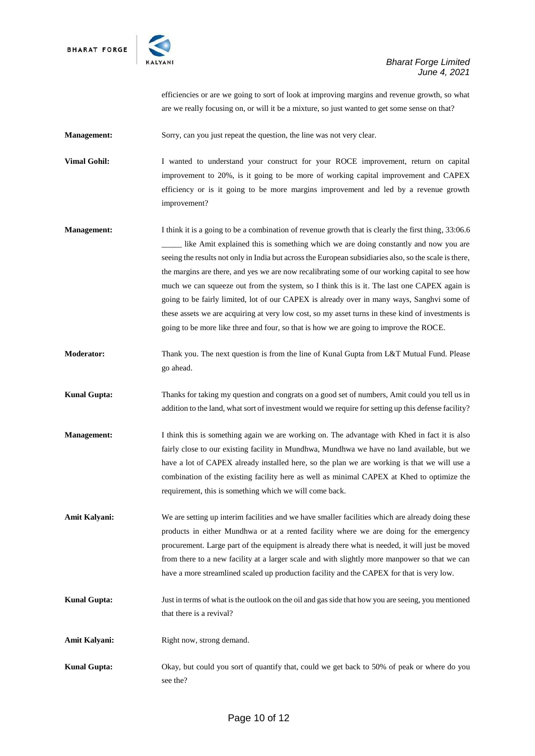

efficiencies or are we going to sort of look at improving margins and revenue growth, so what are we really focusing on, or will it be a mixture, so just wanted to get some sense on that?

**Management:** Sorry, can you just repeat the question, the line was not very clear.

**Vimal Gohil:** I wanted to understand your construct for your ROCE improvement, return on capital improvement to 20%, is it going to be more of working capital improvement and CAPEX efficiency or is it going to be more margins improvement and led by a revenue growth improvement?

- **Management:** I think it is a going to be a combination of revenue growth that is clearly the first thing, 33:06.6 like Amit explained this is something which we are doing constantly and now you are seeing the results not only in India but across the European subsidiaries also, so the scale is there, the margins are there, and yes we are now recalibrating some of our working capital to see how much we can squeeze out from the system, so I think this is it. The last one CAPEX again is going to be fairly limited, lot of our CAPEX is already over in many ways, Sanghvi some of these assets we are acquiring at very low cost, so my asset turns in these kind of investments is going to be more like three and four, so that is how we are going to improve the ROCE.
- **Moderator:** Thank you. The next question is from the line of Kunal Gupta from L&T Mutual Fund. Please go ahead.
- **Kunal Gupta:** Thanks for taking my question and congrats on a good set of numbers, Amit could you tell us in addition to the land, what sort of investment would we require for setting up this defense facility?
- **Management:** I think this is something again we are working on. The advantage with Khed in fact it is also fairly close to our existing facility in Mundhwa, Mundhwa we have no land available, but we have a lot of CAPEX already installed here, so the plan we are working is that we will use a combination of the existing facility here as well as minimal CAPEX at Khed to optimize the requirement, this is something which we will come back.
- Amit Kalyani: We are setting up interim facilities and we have smaller facilities which are already doing these products in either Mundhwa or at a rented facility where we are doing for the emergency procurement. Large part of the equipment is already there what is needed, it will just be moved from there to a new facility at a larger scale and with slightly more manpower so that we can have a more streamlined scaled up production facility and the CAPEX for that is very low.
- **Kunal Gupta:** Just in terms of what is the outlook on the oil and gas side that how you are seeing, you mentioned that there is a revival?
- **Amit Kalyani:** Right now, strong demand.
- **Kunal Gupta:** Okay, but could you sort of quantify that, could we get back to 50% of peak or where do you see the?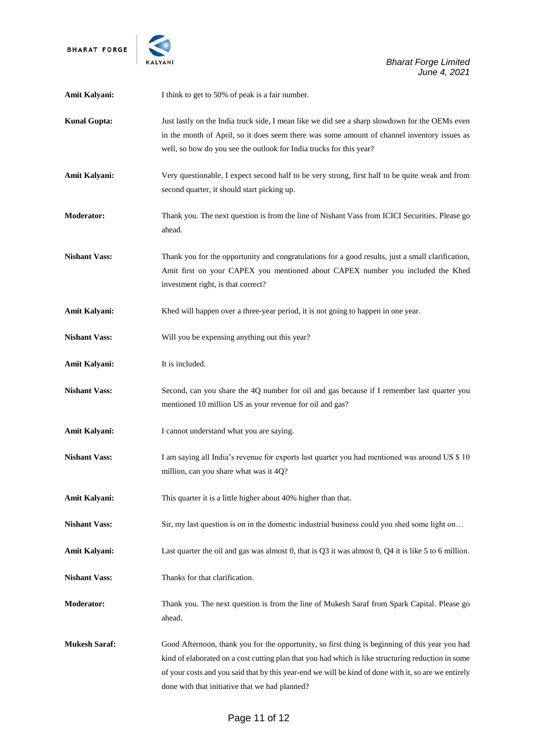

*Bharat Forge Limited June 4, 2021*

| Amit Kalyani:        | I think to get to 50% of peak is a fair number.                                                                                                                                                                                                                                                                                                                 |
|----------------------|-----------------------------------------------------------------------------------------------------------------------------------------------------------------------------------------------------------------------------------------------------------------------------------------------------------------------------------------------------------------|
| <b>Kunal Gupta:</b>  | Just lastly on the India truck side, I mean like we did see a sharp slowdown for the OEMs even<br>in the month of April, so it does seem there was some amount of channel inventory issues as<br>well, so how do you see the outlook for India trucks for this year?                                                                                            |
| Amit Kalyani:        | Very questionable, I expect second half to be very strong, first half to be quite weak and from<br>second quarter, it should start picking up.                                                                                                                                                                                                                  |
| <b>Moderator:</b>    | Thank you. The next question is from the line of Nishant Vass from ICICI Securities. Please go<br>ahead.                                                                                                                                                                                                                                                        |
| <b>Nishant Vass:</b> | Thank you for the opportunity and congratulations for a good results, just a small clarification,<br>Amit first on your CAPEX you mentioned about CAPEX number you included the Khed<br>investment right, is that correct?                                                                                                                                      |
| <b>Amit Kalyani:</b> | Khed will happen over a three-year period, it is not going to happen in one year.                                                                                                                                                                                                                                                                               |
| <b>Nishant Vass:</b> | Will you be expensing anything out this year?                                                                                                                                                                                                                                                                                                                   |
| <b>Amit Kalyani:</b> | It is included.                                                                                                                                                                                                                                                                                                                                                 |
| <b>Nishant Vass:</b> | Second, can you share the 4Q number for oil and gas because if I remember last quarter you<br>mentioned 10 million US as your revenue for oil and gas?                                                                                                                                                                                                          |
| <b>Amit Kalyani:</b> | I cannot understand what you are saying.                                                                                                                                                                                                                                                                                                                        |
| <b>Nishant Vass:</b> | I am saying all India's revenue for exports last quarter you had mentioned was around US \$ 10<br>million, can you share what was it 4Q?                                                                                                                                                                                                                        |
| <b>Amit Kalyani:</b> | This quarter it is a little higher about 40% higher than that.                                                                                                                                                                                                                                                                                                  |
| <b>Nishant Vass:</b> | Sir, my last question is on in the domestic industrial business could you shed some light on                                                                                                                                                                                                                                                                    |
| <b>Amit Kalyani:</b> | Last quarter the oil and gas was almost 0, that is Q3 it was almost 0, Q4 it is like 5 to 6 million.                                                                                                                                                                                                                                                            |
| <b>Nishant Vass:</b> | Thanks for that clarification.                                                                                                                                                                                                                                                                                                                                  |
| Moderator:           | Thank you. The next question is from the line of Mukesh Saraf from Spark Capital. Please go<br>ahead.                                                                                                                                                                                                                                                           |
| <b>Mukesh Saraf:</b> | Good Afternoon, thank you for the opportunity, so first thing is beginning of this year you had<br>kind of elaborated on a cost cutting plan that you had which is like structuring reduction in some<br>of your costs and you said that by this year-end we will be kind of done with it, so are we entirely<br>done with that initiative that we had planned? |